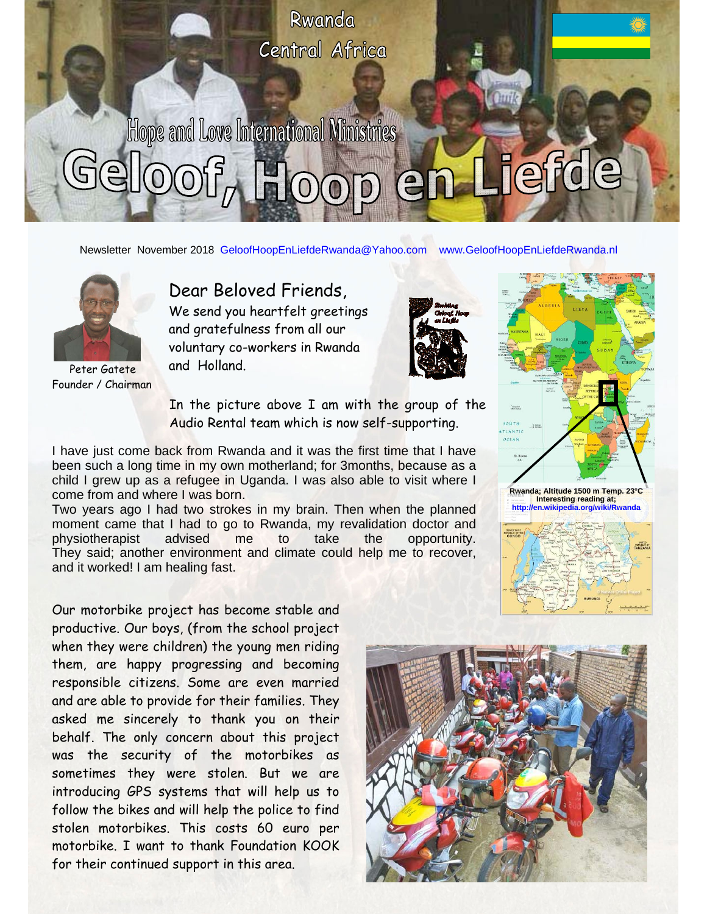

Newsletter November 2018 GeloofHoopEnLiefdeRwanda@Yahoo.com www.GeloofHoopEnLiefdeRwanda.nl



Peter Gatete Founder / Chairman

## Dear Beloved Friends,

We send you heartfelt greetings and gratefulness from all our voluntary co-workers in Rwanda and Holland.



In the picture above I am with the group of the Audio Rental team which is now self-supporting.

I have just come back from Rwanda and it was the first time that I have been such a long time in my own motherland; for 3months, because as a child I grew up as a refugee in Uganda. I was also able to visit where I come from and where I was born.

 moment came that I had to go to Rwanda, my revalidation doctor and Two years ago I had two strokes in my brain. Then when the planned physiotherapist advised me to take the opportunity. They said; another environment and climate could help me to recover, and it worked! I am healing fast.

Our motorbike project has become stable and productive. Our boys, (from the school project when they were children) the young men riding them, are happy progressing and becoming responsible citizens. Some are even married and are able to provide for their families. They asked me sincerely to thank you on their behalf. The only concern about this project was the security of the motorbikes as sometimes they were stolen. But we are introducing GPS systems that will help us to follow the bikes and will help the police to find stolen motorbikes. This costs 60 euro per motorbike. I want to thank Foundation KOOK for their continued support in this area.



SOUTH

**Rwanda; Altitude 1500 m Temp. 23°C Interesting reading at; http://en.wikipedia.org/wiki/Rwanda**